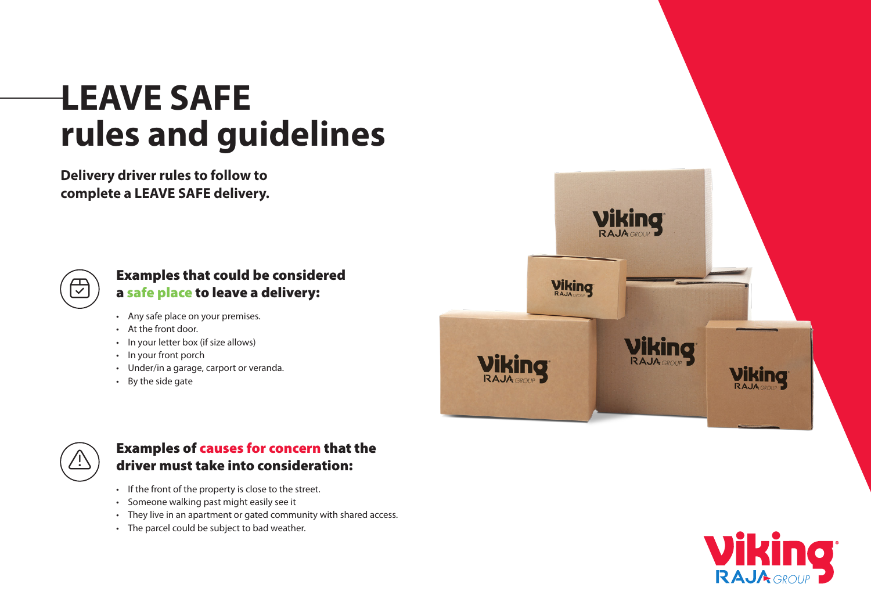# **LEAVE SAFE rules and guidelines**

**Delivery driver rules to follow to complete a LEAVE SAFE delivery.**



#### Examples that could be considered a safe place to leave a delivery:

- Any safe place on your premises.
- At the front door.
- In your letter box (if size allows)
- In your front porch
- Under/in a garage, carport or veranda.
- By the side gate





#### Examples of causes for concern that the driver must take into consideration:

- If the front of the property is close to the street.
- Someone walking past might easily see it
- They live in an apartment or gated community with shared access.
- The parcel could be subject to bad weather.